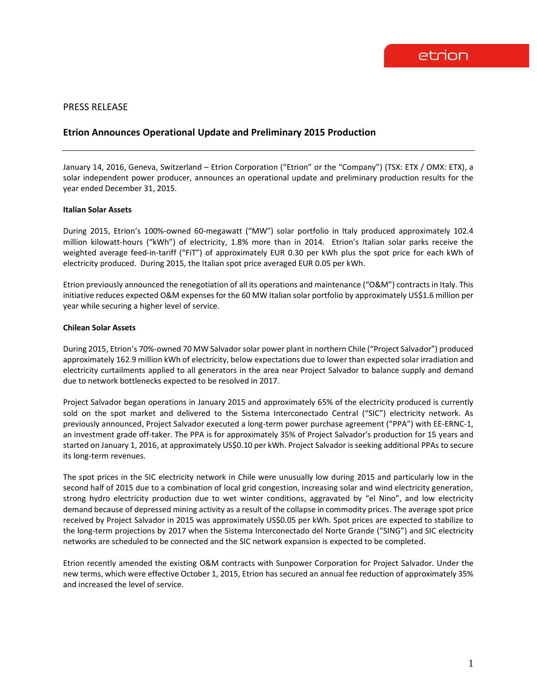## PRESS RELEASE

# **Etrion Announces Operational Update and Preliminary 2015 Production**

January 14, 2016, Geneva, Switzerland – Etrion Corporation ("Etrion" or the "Company") (TSX: ETX / OMX: ETX), a solar independent power producer, announces an operational update and preliminary production results for the year ended December 31, 2015.

#### **Italian Solar Assets**

During 2015, Etrion's 100%-owned 60-megawatt ("MW") solar portfolio in Italy produced approximately 102.4 million kilowatt-hours ("kWh") of electricity, 1.8% more than in 2014. Etrion's Italian solar parks receive the weighted average feed-in-tariff ("FiT") of approximately EUR 0.30 per kWh plus the spot price for each kWh of electricity produced. During 2015, the Italian spot price averaged EUR 0.05 per kWh.

Etrion previously announced the renegotiation of all its operations and maintenance ("O&M") contracts in Italy. This initiative reduces expected O&M expenses for the 60 MW Italian solar portfolio by approximately US\$1.6 million per year while securing a higher level of service.

#### **Chilean Solar Assets**

During 2015, Etrion's 70%-owned 70 MW Salvador solar power plant in northern Chile ("Project Salvador") produced approximately 162.9 million kWh of electricity, below expectations due to lower than expected solar irradiation and electricity curtailments applied to all generators in the area near Project Salvador to balance supply and demand due to network bottlenecks expected to be resolved in 2017.

Project Salvador began operations in January 2015 and approximately 65% of the electricity produced is currently sold on the spot market and delivered to the Sistema Interconectado Central ("SIC") electricity network. As previously announced, Project Salvador executed a long-term power purchase agreement ("PPA") with EE-ERNC-1, an investment grade off-taker. The PPA is for approximately 35% of Project Salvador's production for 15 years and started on January 1, 2016, at approximately US\$0.10 per kWh. Project Salvador is seeking additional PPAs to secure its long-term revenues.

The spot prices in the SIC electricity network in Chile were unusually low during 2015 and particularly low in the second half of 2015 due to a combination of local grid congestion, increasing solar and wind electricity generation, strong hydro electricity production due to wet winter conditions, aggravated by "el Nino", and low electricity demand because of depressed mining activity as a result of the collapse in commodity prices. The average spot price received by Project Salvador in 2015 was approximately US\$0.05 per kWh. Spot prices are expected to stabilize to the long-term projections by 2017 when the Sistema Interconectado del Norte Grande ("SING") and SIC electricity networks are scheduled to be connected and the SIC network expansion is expected to be completed.

Etrion recently amended the existing O&M contracts with Sunpower Corporation for Project Salvador. Under the new terms, which were effective October 1, 2015, Etrion has secured an annual fee reduction of approximately 35% and increased the level of service.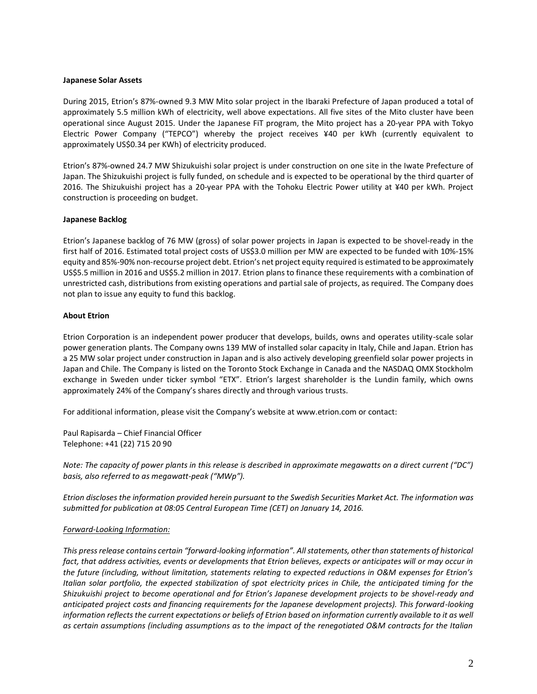#### **Japanese Solar Assets**

During 2015, Etrion's 87%-owned 9.3 MW Mito solar project in the Ibaraki Prefecture of Japan produced a total of approximately 5.5 million kWh of electricity, well above expectations. All five sites of the Mito cluster have been operational since August 2015. Under the Japanese FiT program, the Mito project has a 20-year PPA with Tokyo Electric Power Company ("TEPCO") whereby the project receives ¥40 per kWh (currently equivalent to approximately US\$0.34 per KWh) of electricity produced.

Etrion's 87%-owned 24.7 MW Shizukuishi solar project is under construction on one site in the Iwate Prefecture of Japan. The Shizukuishi project is fully funded, on schedule and is expected to be operational by the third quarter of 2016. The Shizukuishi project has a 20-year PPA with the Tohoku Electric Power utility at ¥40 per kWh. Project construction is proceeding on budget.

## **Japanese Backlog**

Etrion's Japanese backlog of 76 MW (gross) of solar power projects in Japan is expected to be shovel-ready in the first half of 2016. Estimated total project costs of US\$3.0 million per MW are expected to be funded with 10%-15% equity and 85%-90% non-recourse project debt. Etrion's net project equity required is estimated to be approximately US\$5.5 million in 2016 and US\$5.2 million in 2017. Etrion plans to finance these requirements with a combination of unrestricted cash, distributions from existing operations and partial sale of projects, as required. The Company does not plan to issue any equity to fund this backlog.

### **About Etrion**

Etrion Corporation is an independent power producer that develops, builds, owns and operates utility-scale solar power generation plants. The Company owns 139 MW of installed solar capacity in Italy, Chile and Japan. Etrion has a 25 MW solar project under construction in Japan and is also actively developing greenfield solar power projects in Japan and Chile. The Company is listed on the Toronto Stock Exchange in Canada and the NASDAQ OMX Stockholm exchange in Sweden under ticker symbol "ETX". Etrion's largest shareholder is the Lundin family, which owns approximately 24% of the Company's shares directly and through various trusts.

For additional information, please visit the Company's website at www.etrion.com or contact:

Paul Rapisarda – Chief Financial Officer Telephone: +41 (22) 715 20 90

*Note: The capacity of power plants in this release is described in approximate megawatts on a direct current ("DC") basis, also referred to as megawatt-peak ("MWp").*

*Etrion discloses the information provided herein pursuant to the Swedish Securities Market Act. The information was submitted for publication at 08:05 Central European Time (CET) on January 14, 2016.*

## *Forward-Looking Information:*

*This press release contains certain "forward-looking information". All statements, other than statements of historical fact, that address activities, events or developments that Etrion believes, expects or anticipates will or may occur in the future (including, without limitation, statements relating to expected reductions in O&M expenses for Etrion's Italian solar portfolio, the expected stabilization of spot electricity prices in Chile, the anticipated timing for the Shizukuishi project to become operational and for Etrion's Japanese development projects to be shovel-ready and anticipated project costs and financing requirements for the Japanese development projects). This forward-looking information reflects the current expectations or beliefs of Etrion based on information currently available to it as well as certain assumptions (including assumptions as to the impact of the renegotiated O&M contracts for the Italian*